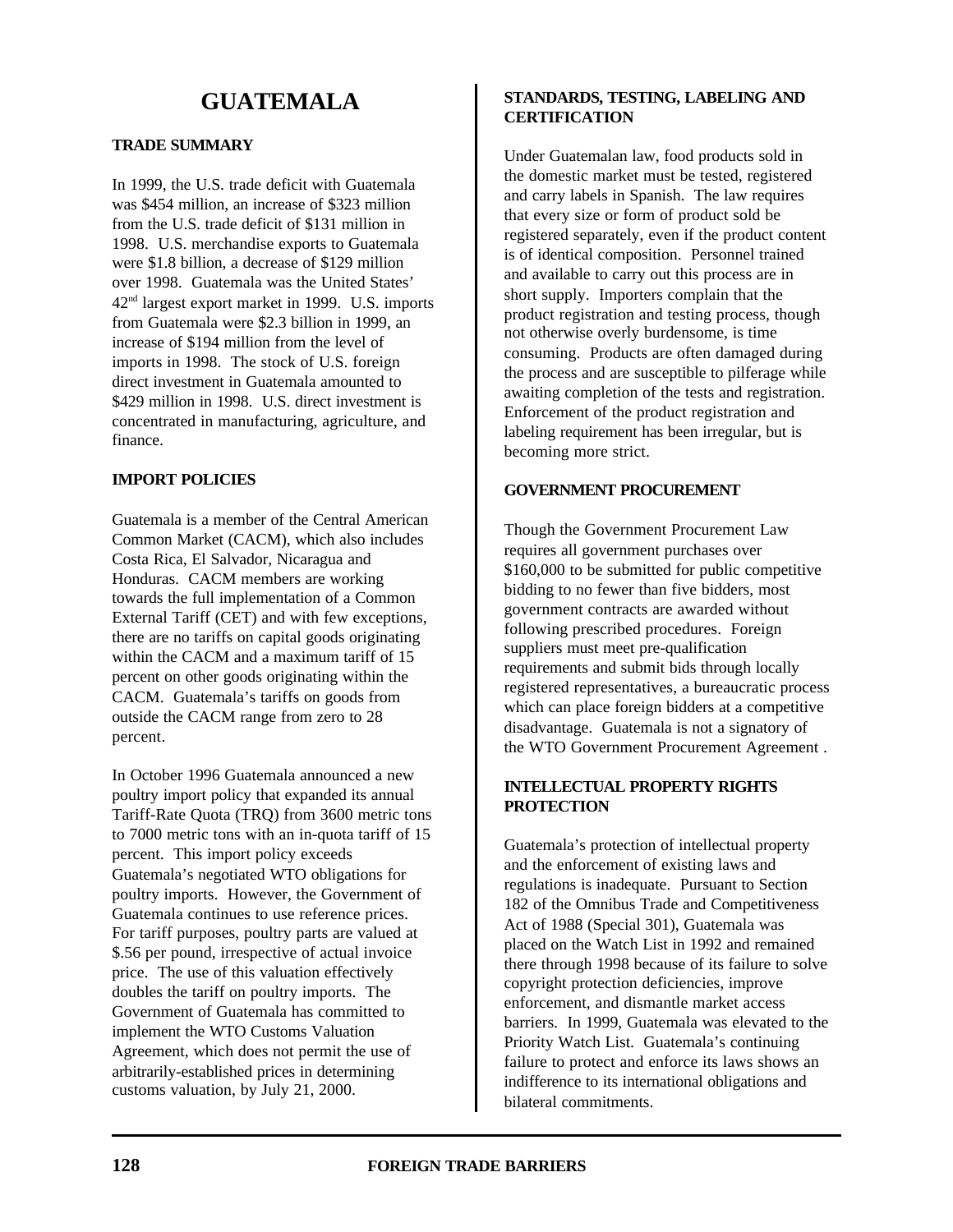# **GUATEMALA**

## **TRADE SUMMARY**

In 1999, the U.S. trade deficit with Guatemala was \$454 million, an increase of \$323 million from the U.S. trade deficit of \$131 million in 1998. U.S. merchandise exports to Guatemala were \$1.8 billion, a decrease of \$129 million over 1998. Guatemala was the United States' 42nd largest export market in 1999. U.S. imports from Guatemala were \$2.3 billion in 1999, an increase of \$194 million from the level of imports in 1998. The stock of U.S. foreign direct investment in Guatemala amounted to \$429 million in 1998. U.S. direct investment is concentrated in manufacturing, agriculture, and finance.

## **IMPORT POLICIES**

Guatemala is a member of the Central American Common Market (CACM), which also includes Costa Rica, El Salvador, Nicaragua and Honduras. CACM members are working towards the full implementation of a Common External Tariff (CET) and with few exceptions, there are no tariffs on capital goods originating within the CACM and a maximum tariff of 15 percent on other goods originating within the CACM. Guatemala's tariffs on goods from outside the CACM range from zero to 28 percent.

In October 1996 Guatemala announced a new poultry import policy that expanded its annual Tariff-Rate Quota (TRQ) from 3600 metric tons to 7000 metric tons with an in-quota tariff of 15 percent. This import policy exceeds Guatemala's negotiated WTO obligations for poultry imports. However, the Government of Guatemala continues to use reference prices. For tariff purposes, poultry parts are valued at \$.56 per pound, irrespective of actual invoice price. The use of this valuation effectively doubles the tariff on poultry imports. The Government of Guatemala has committed to implement the WTO Customs Valuation Agreement, which does not permit the use of arbitrarily-established prices in determining customs valuation, by July 21, 2000.

# **STANDARDS, TESTING, LABELING AND CERTIFICATION**

Under Guatemalan law, food products sold in the domestic market must be tested, registered and carry labels in Spanish. The law requires that every size or form of product sold be registered separately, even if the product content is of identical composition. Personnel trained and available to carry out this process are in short supply. Importers complain that the product registration and testing process, though not otherwise overly burdensome, is time consuming. Products are often damaged during the process and are susceptible to pilferage while awaiting completion of the tests and registration. Enforcement of the product registration and labeling requirement has been irregular, but is becoming more strict.

#### **GOVERNMENT PROCUREMENT**

Though the Government Procurement Law requires all government purchases over \$160,000 to be submitted for public competitive bidding to no fewer than five bidders, most government contracts are awarded without following prescribed procedures. Foreign suppliers must meet pre-qualification requirements and submit bids through locally registered representatives, a bureaucratic process which can place foreign bidders at a competitive disadvantage. Guatemala is not a signatory of the WTO Government Procurement Agreement .

## **INTELLECTUAL PROPERTY RIGHTS PROTECTION**

Guatemala's protection of intellectual property and the enforcement of existing laws and regulations is inadequate. Pursuant to Section 182 of the Omnibus Trade and Competitiveness Act of 1988 (Special 301), Guatemala was placed on the Watch List in 1992 and remained there through 1998 because of its failure to solve copyright protection deficiencies, improve enforcement, and dismantle market access barriers. In 1999, Guatemala was elevated to the Priority Watch List. Guatemala's continuing failure to protect and enforce its laws shows an indifference to its international obligations and bilateral commitments.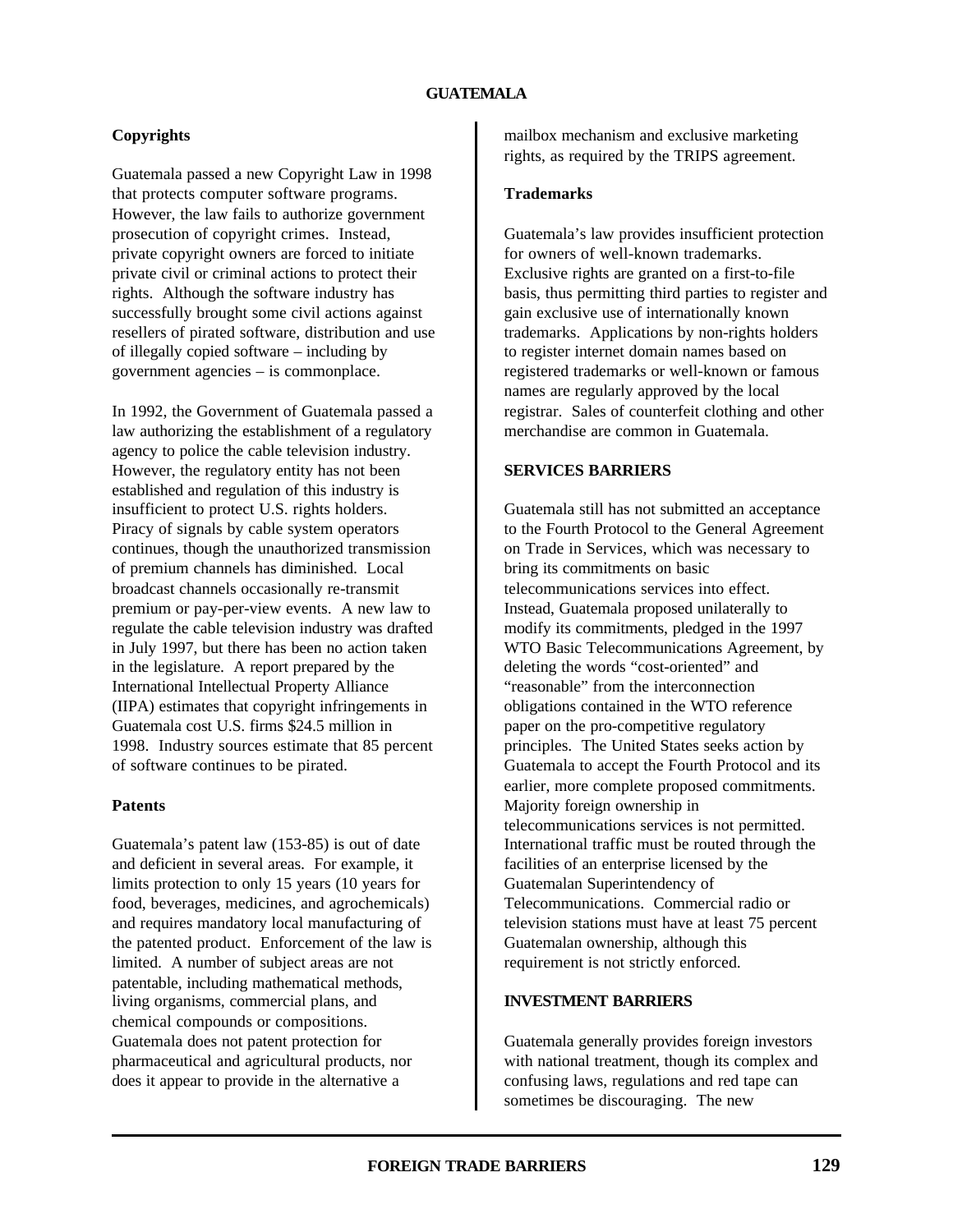# **Copyrights**

Guatemala passed a new Copyright Law in 1998 that protects computer software programs. However, the law fails to authorize government prosecution of copyright crimes. Instead, private copyright owners are forced to initiate private civil or criminal actions to protect their rights. Although the software industry has successfully brought some civil actions against resellers of pirated software, distribution and use of illegally copied software – including by government agencies – is commonplace.

In 1992, the Government of Guatemala passed a law authorizing the establishment of a regulatory agency to police the cable television industry. However, the regulatory entity has not been established and regulation of this industry is insufficient to protect U.S. rights holders. Piracy of signals by cable system operators continues, though the unauthorized transmission of premium channels has diminished. Local broadcast channels occasionally re-transmit premium or pay-per-view events. A new law to regulate the cable television industry was drafted in July 1997, but there has been no action taken in the legislature. A report prepared by the International Intellectual Property Alliance (IIPA) estimates that copyright infringements in Guatemala cost U.S. firms \$24.5 million in 1998. Industry sources estimate that 85 percent of software continues to be pirated.

#### **Patents**

Guatemala's patent law (153-85) is out of date and deficient in several areas. For example, it limits protection to only 15 years (10 years for food, beverages, medicines, and agrochemicals) and requires mandatory local manufacturing of the patented product. Enforcement of the law is limited. A number of subject areas are not patentable, including mathematical methods, living organisms, commercial plans, and chemical compounds or compositions. Guatemala does not patent protection for pharmaceutical and agricultural products, nor does it appear to provide in the alternative a

mailbox mechanism and exclusive marketing rights, as required by the TRIPS agreement.

#### **Trademarks**

Guatemala's law provides insufficient protection for owners of well-known trademarks. Exclusive rights are granted on a first-to-file basis, thus permitting third parties to register and gain exclusive use of internationally known trademarks. Applications by non-rights holders to register internet domain names based on registered trademarks or well-known or famous names are regularly approved by the local registrar. Sales of counterfeit clothing and other merchandise are common in Guatemala.

#### **SERVICES BARRIERS**

Guatemala still has not submitted an acceptance to the Fourth Protocol to the General Agreement on Trade in Services, which was necessary to bring its commitments on basic telecommunications services into effect. Instead, Guatemala proposed unilaterally to modify its commitments, pledged in the 1997 WTO Basic Telecommunications Agreement, by deleting the words "cost-oriented" and "reasonable" from the interconnection obligations contained in the WTO reference paper on the pro-competitive regulatory principles. The United States seeks action by Guatemala to accept the Fourth Protocol and its earlier, more complete proposed commitments. Majority foreign ownership in telecommunications services is not permitted. International traffic must be routed through the facilities of an enterprise licensed by the Guatemalan Superintendency of Telecommunications. Commercial radio or television stations must have at least 75 percent Guatemalan ownership, although this requirement is not strictly enforced.

#### **INVESTMENT BARRIERS**

Guatemala generally provides foreign investors with national treatment, though its complex and confusing laws, regulations and red tape can sometimes be discouraging. The new